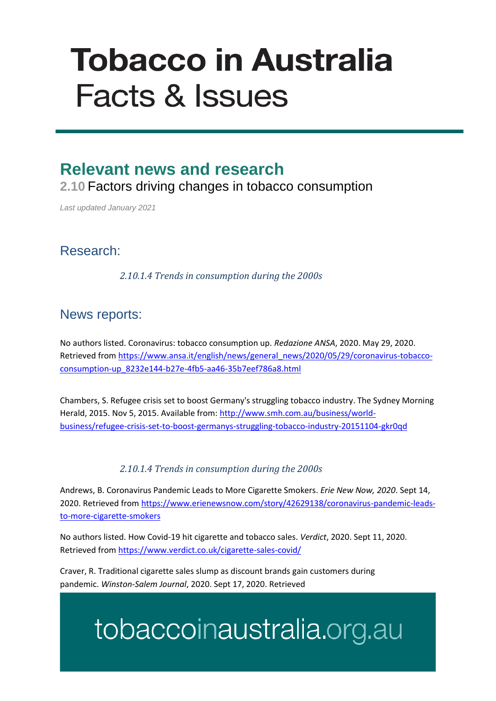# **Tobacco in Australia Facts & Issues**

## **Relevant news and research**

**2.10** Factors driving changes in tobacco consumption

*Last updated January 2021*

### Research:

*2.10.1.4 Trends in consumption during the 2000s*

### News reports:

No authors listed. Coronavirus: tobacco consumption up. *Redazione ANSA*, 2020. May 29, 2020. Retrieved from [https://www.ansa.it/english/news/general\\_news/2020/05/29/coronavirus-tobacco](https://www.ansa.it/english/news/general_news/2020/05/29/coronavirus-tobacco-consumption-up_8232e144-b27e-4fb5-aa46-35b7eef786a8.html)[consumption-up\\_8232e144-b27e-4fb5-aa46-35b7eef786a8.html](https://www.ansa.it/english/news/general_news/2020/05/29/coronavirus-tobacco-consumption-up_8232e144-b27e-4fb5-aa46-35b7eef786a8.html)

Chambers, S. Refugee crisis set to boost Germany's struggling tobacco industry. The Sydney Morning Herald, 2015. Nov 5, 2015. Available from[: http://www.smh.com.au/business/world](http://www.smh.com.au/business/world-business/refugee-crisis-set-to-boost-germanys-struggling-tobacco-industry-20151104-gkr0qd)[business/refugee-crisis-set-to-boost-germanys-struggling-tobacco-industry-20151104-gkr0qd](http://www.smh.com.au/business/world-business/refugee-crisis-set-to-boost-germanys-struggling-tobacco-industry-20151104-gkr0qd)

#### *2.10.1.4 Trends in consumption during the 2000s*

Andrews, B. Coronavirus Pandemic Leads to More Cigarette Smokers. *Erie New Now, 2020*. Sept 14, 2020. Retrieved from [https://www.erienewsnow.com/story/42629138/coronavirus-pandemic-leads](https://www.erienewsnow.com/story/42629138/coronavirus-pandemic-leads-to-more-cigarette-smokers)[to-more-cigarette-smokers](https://www.erienewsnow.com/story/42629138/coronavirus-pandemic-leads-to-more-cigarette-smokers)

No authors listed. How Covid-19 hit cigarette and tobacco sales. *Verdict*, 2020. Sept 11, 2020. Retrieved from <https://www.verdict.co.uk/cigarette-sales-covid/>

Craver, R. Traditional cigarette sales slump as discount brands gain customers during pandemic. *Winston-Salem Journal*, 2020. Sept 17, 2020. Retrieved

## tobaccoinaustralia.org.au